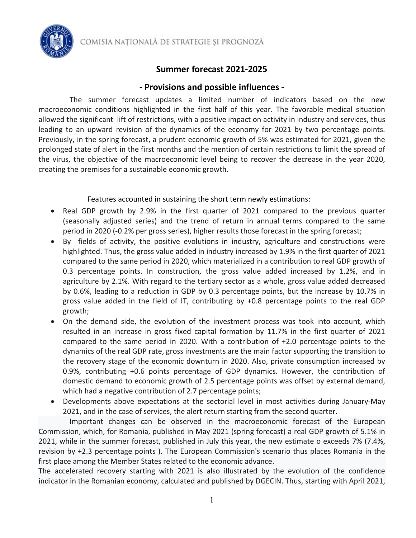COMISIA NAȚIONALĂ DE STRATEGIE ȘI PROGNOZĂ

### **Summer forecast 2021-2025**

#### **- Provisions and possible influences -**

The summer forecast updates a limited number of indicators based on the new macroeconomic conditions highlighted in the first half of this year. The favorable medical situation allowed the significant lift of restrictions, with a positive impact on activity in industry and services, thus leading to an upward revision of the dynamics of the economy for 2021 by two percentage points. Previously, in the spring forecast, a prudent economic growth of 5% was estimated for 2021, given the prolonged state of alert in the first months and the mention of certain restrictions to limit the spread of the virus, the objective of the macroeconomic level being to recover the decrease in the year 2020, creating the premises for a sustainable economic growth.

#### Features accounted in sustaining the short term newly estimations:

- Real GDP growth by 2.9% in the first quarter of 2021 compared to the previous quarter (seasonally adjusted series) and the trend of return in annual terms compared to the same period in 2020 (-0.2% per gross series), higher results those forecast in the spring forecast;
- By fields of activity, the positive evolutions in industry, agriculture and constructions were highlighted. Thus, the gross value added in industry increased by 1.9% in the first quarter of 2021 compared to the same period in 2020, which materialized in a contribution to real GDP growth of 0.3 percentage points. In construction, the gross value added increased by 1.2%, and in agriculture by 2.1%. With regard to the tertiary sector as a whole, gross value added decreased by 0.6%, leading to a reduction in GDP by 0.3 percentage points, but the increase by 10.7% in gross value added in the field of IT, contributing by +0.8 percentage points to the real GDP growth;
- On the demand side, the evolution of the investment process was took into account, which resulted in an increase in gross fixed capital formation by 11.7% in the first quarter of 2021 compared to the same period in 2020. With a contribution of +2.0 percentage points to the dynamics of the real GDP rate, gross investments are the main factor supporting the transition to the recovery stage of the economic downturn in 2020. Also, private consumption increased by 0.9%, contributing +0.6 points percentage of GDP dynamics. However, the contribution of domestic demand to economic growth of 2.5 percentage points was offset by external demand, which had a negative contribution of 2.7 percentage points;
- Developments above expectations at the sectorial level in most activities during January-May 2021, and in the case of services, the alert return starting from the second quarter.

Important changes can be observed in the macroeconomic forecast of the European Commission, which, for Romania, published in May 2021 (spring forecast) a real GDP growth of 5.1% in 2021, while in the summer forecast, published in July this year, the new estimate o exceeds 7% (7.4%, revision by +2.3 percentage points ). The European Commission's scenario thus places Romania in the first place among the Member States related to the economic advance.

The accelerated recovery starting with 2021 is also illustrated by the evolution of the confidence indicator in the Romanian economy, calculated and published by DGECIN. Thus, starting with April 2021,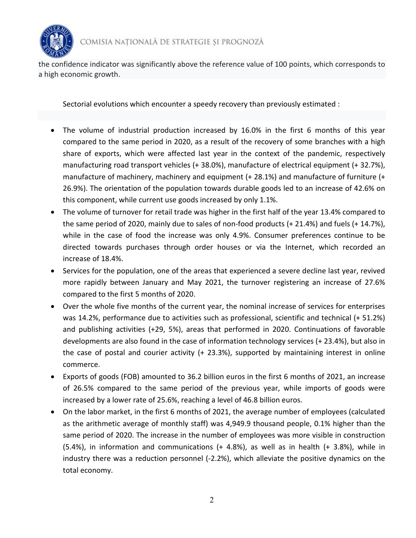

the confidence indicator was significantly above the reference value of 100 points, which corresponds to a high economic growth.

Sectorial evolutions which encounter a speedy recovery than previously estimated :

- The volume of industrial production increased by 16.0% in the first 6 months of this year compared to the same period in 2020, as a result of the recovery of some branches with a high share of exports, which were affected last year in the context of the pandemic, respectively manufacturing road transport vehicles (+ 38.0%), manufacture of electrical equipment (+ 32.7%), manufacture of machinery, machinery and equipment (+ 28.1%) and manufacture of furniture (+ 26.9%). The orientation of the population towards durable goods led to an increase of 42.6% on this component, while current use goods increased by only 1.1%.
- The volume of turnover for retail trade was higher in the first half of the year 13.4% compared to the same period of 2020, mainly due to sales of non-food products (+ 21.4%) and fuels (+ 14.7%), while in the case of food the increase was only 4.9%. Consumer preferences continue to be directed towards purchases through order houses or via the Internet, which recorded an increase of 18.4%.
- Services for the population, one of the areas that experienced a severe decline last year, revived more rapidly between January and May 2021, the turnover registering an increase of 27.6% compared to the first 5 months of 2020.
- Over the whole five months of the current year, the nominal increase of services for enterprises was 14.2%, performance due to activities such as professional, scientific and technical (+ 51.2%) and publishing activities (+29, 5%), areas that performed in 2020. Continuations of favorable developments are also found in the case of information technology services (+ 23.4%), but also in the case of postal and courier activity (+ 23.3%), supported by maintaining interest in online commerce.
- Exports of goods (FOB) amounted to 36.2 billion euros in the first 6 months of 2021, an increase of 26.5% compared to the same period of the previous year, while imports of goods were increased by a lower rate of 25.6%, reaching a level of 46.8 billion euros.
- On the labor market, in the first 6 months of 2021, the average number of employees (calculated as the arithmetic average of monthly staff) was 4,949.9 thousand people, 0.1% higher than the same period of 2020. The increase in the number of employees was more visible in construction (5.4%), in information and communications (+ 4.8%), as well as in health (+ 3.8%), while in industry there was a reduction personnel (-2.2%), which alleviate the positive dynamics on the total economy.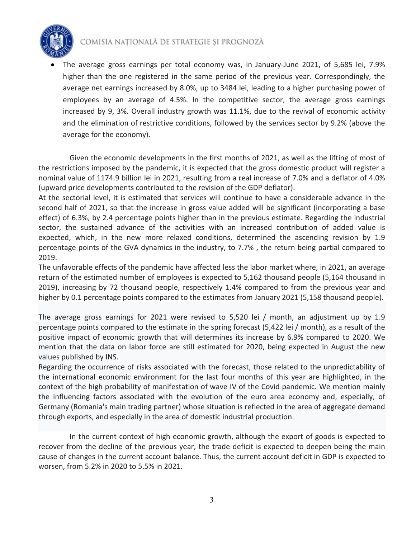

# COMISIA NATIONALĂ DE STRATEGIE ȘI PROGNOZĂ

• The average gross earnings per total economy was, in January-June 2021, of 5,685 lei, 7.9% higher than the one registered in the same period of the previous year. Correspondingly, the average net earnings increased by 8.0%, up to 3484 lei, leading to a higher purchasing power of employees by an average of 4.5%. In the competitive sector, the average gross earnings increased by 9, 3%. Overall industry growth was 11.1%, due to the revival of economic activity and the elimination of restrictive conditions, followed by the services sector by 9.2% (above the average for the economy).

Given the economic developments in the first months of 2021, as well as the lifting of most of the restrictions imposed by the pandemic, it is expected that the gross domestic product will register a nominal value of 1174.9 billion lei in 2021, resulting from a real increase of 7.0% and a deflator of 4.0% (upward price developments contributed to the revision of the GDP deflator).

At the sectorial level, it is estimated that services will continue to have a considerable advance in the second half of 2021, so that the increase in gross value added will be significant (incorporating a base effect) of 6.3%, by 2.4 percentage points higher than in the previous estimate. Regarding the industrial sector, the sustained advance of the activities with an increased contribution of added value is expected, which, in the new more relaxed conditions, determined the ascending revision by 1.9 percentage points of the GVA dynamics in the industry, to 7.7% , the return being partial compared to 2019.

The unfavorable effects of the pandemic have affected less the labor market where, in 2021, an average return of the estimated number of employees is expected to 5,162 thousand people (5,164 thousand in 2019), increasing by 72 thousand people, respectively 1.4% compared to from the previous year and higher by 0.1 percentage points compared to the estimates from January 2021 (5,158 thousand people).

The average gross earnings for 2021 were revised to 5,520 lei / month, an adjustment up by 1.9 percentage points compared to the estimate in the spring forecast (5,422 lei / month), as a result of the positive impact of economic growth that will determines its increase by 6.9% compared to 2020. We mention that the data on labor force are still estimated for 2020, being expected in August the new values published by INS.

Regarding the occurrence of risks associated with the forecast, those related to the unpredictability of the international economic environment for the last four months of this year are highlighted, in the context of the high probability of manifestation of wave IV of the Covid pandemic. We mention mainly the influencing factors associated with the evolution of the euro area economy and, especially, of Germany (Romania's main trading partner) whose situation is reflected in the area of aggregate demand through exports, and especially in the area of domestic industrial production.

In the current context of high economic growth, although the export of goods is expected to recover from the decline of the previous year, the trade deficit is expected to deepen being the main cause of changes in the current account balance. Thus, the current account deficit in GDP is expected to worsen, from 5.2% in 2020 to 5.5% in 2021.